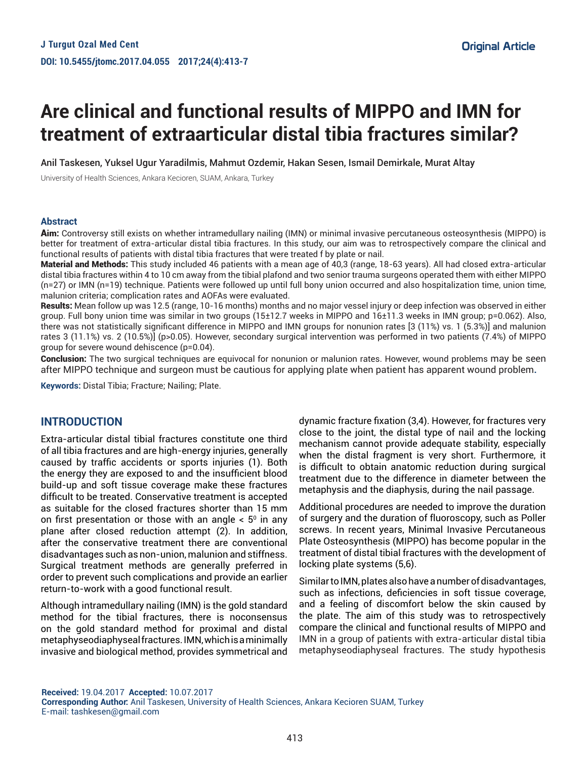# **Are clinical and functional results of MIPPO and IMN for treatment of extraarticular distal tibia fractures similar?**

Anil Taskesen, Yuksel Ugur Yaradilmis, Mahmut Ozdemir, Hakan Sesen, Ismail Demirkale, Murat Altay

University of Health Sciences, Ankara Kecioren, SUAM, Ankara, Turkey

#### **Abstract**

Aim: Controversy still exists on whether intramedullary nailing (IMN) or minimal invasive percutaneous osteosynthesis (MIPPO) is better for treatment of extra-articular distal tibia fractures. In this study, our aim was to retrospectively compare the clinical and functional results of patients with distal tibia fractures that were treated f by plate or nail.

Material and Methods: This study included 46 patients with a mean age of 40,3 (range, 18-63 years). All had closed extra-articular distal tibia fractures within 4 to 10 cm away from the tibial plafond and two senior trauma surgeons operated them with either MIPPO (n=27) or IMN (n=19) technique. Patients were followed up until full bony union occurred and also hospitalization time, union time, malunion criteria; complication rates and AOFAs were evaluated.

Results: Mean follow up was 12.5 (range, 10-16 months) months and no major vessel injury or deep infection was observed in either group. Full bony union time was similar in two groups (15±12.7 weeks in MIPPO and 16±11.3 weeks in IMN group; p=0.062). Also, there was not statistically significant difference in MIPPO and IMN groups for nonunion rates [3 (11%) vs. 1 (5.3%)] and malunion rates 3 (11.1%) vs. 2 (10.5%)] (p>0.05). However, secondary surgical intervention was performed in two patients (7.4%) of MIPPO group for severe wound dehiscence (p=0.04).

Conclusion: The two surgical techniques are equivocal for nonunion or malunion rates. However, wound problems may be seen after MIPPO technique and surgeon must be cautious for applying plate when patient has apparent wound problem**.**

**Keywords:** Distal Tibia; Fracture; Nailing; Plate.

## **INTRODUCTION**

Extra-articular distal tibial fractures constitute one third of all tibia fractures and are high-energy injuries, generally caused by traffic accidents or sports injuries (1). Both the energy they are exposed to and the insufficient blood build-up and soft tissue coverage make these fractures difficult to be treated. Conservative treatment is accepted as suitable for the closed fractures shorter than 15 mm on first presentation or those with an angle  $< 5^{\circ}$  in any plane after closed reduction attempt (2). In addition, after the conservative treatment there are conventional disadvantages such as non-union, malunion and stiffness. Surgical treatment methods are generally preferred in order to prevent such complications and provide an earlier return-to-work with a good functional result.

Although intramedullary nailing (IMN) is the gold standard method for the tibial fractures, there is noconsensus on the gold standard method for proximal and distal metaphyseodiaphyseal fractures. IMN, which is a minimally invasive and biological method, provides symmetrical and dynamic fracture fixation (3,4). However, for fractures very close to the joint, the distal type of nail and the locking mechanism cannot provide adequate stability, especially when the distal fragment is very short. Furthermore, it is difficult to obtain anatomic reduction during surgical treatment due to the difference in diameter between the metaphysis and the diaphysis, during the nail passage.

Additional procedures are needed to improve the duration of surgery and the duration of fluoroscopy, such as Poller screws. In recent years, Minimal Invasive Percutaneous Plate Osteosynthesis (MIPPO) has become popular in the treatment of distal tibial fractures with the development of locking plate systems (5,6).

Similar to IMN, plates also have a number of disadvantages, such as infections, deficiencies in soft tissue coverage, and a feeling of discomfort below the skin caused by the plate. The aim of this study was to retrospectively compare the clinical and functional results of MIPPO and IMN in a group of patients with extra-articular distal tibia metaphyseodiaphyseal fractures. The study hypothesis

**Received:** 19.04.2017 **Accepted:** 10.07.2017 **Corresponding Author:** Anil Taskesen, University of Health Sciences, Ankara Kecioren SUAM, Turkey E-mail: tashkesen@gmail.com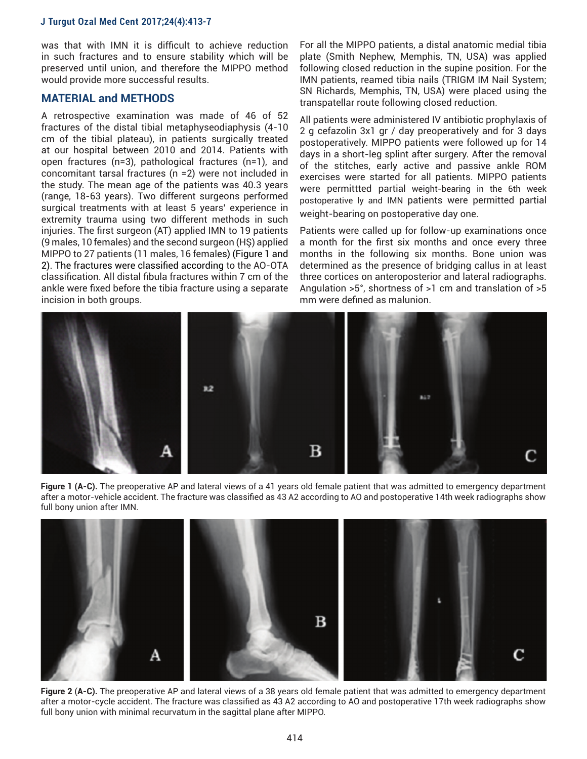was that with IMN it is difficult to achieve reduction in such fractures and to ensure stability which will be preserved until union, and therefore the MIPPO method would provide more successful results.

#### **MATERIAL and METHODS**

A retrospective examination was made of 46 of 52 fractures of the distal tibial metaphyseodiaphysis (4-10 cm of the tibial plateau), in patients surgically treated at our hospital between 2010 and 2014. Patients with open fractures (n=3), pathological fractures (n=1), and concomitant tarsal fractures (n =2) were not included in the study. The mean age of the patients was 40.3 years (range, 18-63 years). Two different surgeons performed surgical treatments with at least 5 years' experience in extremity trauma using two different methods in such injuries. The first surgeon (AT) applied IMN to 19 patients (9 males, 10 females) and the second surgeon (HŞ) applied MIPPO to 27 patients (11 males, 16 females) (Figure 1 and 2). The fractures were classified according to the AO-OTA classification. All distal fibula fractures within 7 cm of the ankle were fixed before the tibia fracture using a separate incision in both groups.

For all the MIPPO patients, a distal anatomic medial tibia plate (Smith Nephew, Memphis, TN, USA) was applied following closed reduction in the supine position. For the IMN patients, reamed tibia nails (TRIGM IM Nail System; SN Richards, Memphis, TN, USA) were placed using the transpatellar route following closed reduction.

All patients were administered IV antibiotic prophylaxis of 2 g cefazolin 3x1 gr / day preoperatively and for 3 days postoperatively. MIPPO patients were followed up for 14 days in a short-leg splint after surgery. After the removal of the stitches, early active and passive ankle ROM exercises were started for all patients. MIPPO patients were permittted partial weight-bearing in the 6th week postoperative ly and IMN patients were permitted partial weight-bearing on postoperative day one.

Patients were called up for follow-up examinations once a month for the first six months and once every three months in the following six months. Bone union was determined as the presence of bridging callus in at least three cortices on anteroposterior and lateral radiographs. Angulation >5°, shortness of >1 cm and translation of >5 mm were defined as malunion.







**Figure 2** (**A-C).** The preoperative AP and lateral views of a 38 years old female patient that was admitted to emergency department after a motor-cycle accident. The fracture was classified as 43 A2 according to AO and postoperative 17th week radiographs show full bony union with minimal recurvatum in the sagittal plane after MIPPO.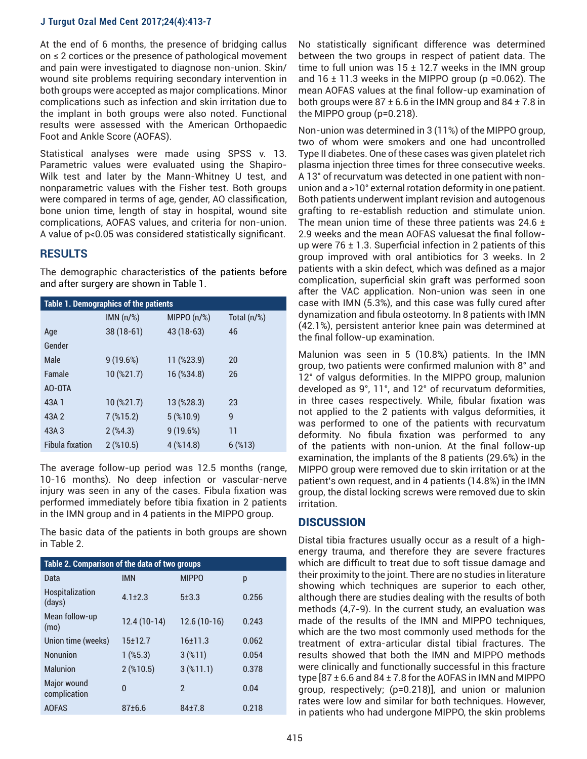At the end of 6 months, the presence of bridging callus on ≤ 2 cortices or the presence of pathological movement and pain were investigated to diagnose non-union. Skin/ wound site problems requiring secondary intervention in both groups were accepted as major complications. Minor complications such as infection and skin irritation due to the implant in both groups were also noted. Functional results were assessed with the American Orthopaedic Foot and Ankle Score (AOFAS).

Statistical analyses were made using SPSS v. 13. Parametric values were evaluated using the Shapiro-Wilk test and later by the Mann-Whitney U test, and nonparametric values with the Fisher test. Both groups were compared in terms of age, gender, AO classification, bone union time, length of stay in hospital, wound site complications, AOFAS values, and criteria for non-union. A value of p<0.05 was considered statistically significant.

## **RESULTS**

The demographic characteristics of the patients before and after surgery are shown in Table 1.

| <b>Table 1. Demographics of the patients</b> |                       |                |             |  |  |
|----------------------------------------------|-----------------------|----------------|-------------|--|--|
|                                              | IMN $(n/\%)$          | MIPPO $(n/\%)$ | Total (n/%) |  |  |
| Age                                          | $38(18-61)$           | 43 (18-63)     | 46          |  |  |
| Gender                                       |                       |                |             |  |  |
| Male                                         | 9(19.6%)              | 11 (%23.9)     | 20          |  |  |
| Famale                                       | 10 (%21.7)            | 16 (%34.8)     | 26          |  |  |
| AO-OTA                                       |                       |                |             |  |  |
| 43A 1                                        | 10 (%21.7)            | 13 (%28.3)     | 23          |  |  |
| 43A 2                                        | 7 <sup>(%</sup> 15.2) | $5$ (%10.9)    | 9           |  |  |
| 43A 3                                        | $2($ %4.3)            | 9(19.6%)       | 11          |  |  |
| <b>Fibula fixation</b>                       | $2$ (%10.5)           | $4$ (%14.8)    | $6$ (%13)   |  |  |

The average follow-up period was 12.5 months (range, 10-16 months). No deep infection or vascular-nerve injury was seen in any of the cases. Fibula fixation was performed immediately before tibia fixation in 2 patients in the IMN group and in 4 patients in the MIPPO group.

The basic data of the patients in both groups are shown in Table 2.

| Table 2. Comparison of the data of two groups |               |                |       |  |  |
|-----------------------------------------------|---------------|----------------|-------|--|--|
| Data                                          | <b>IMN</b>    | <b>MIPPO</b>   | p     |  |  |
| <b>Hospitalization</b><br>(days)              | $4.1 \pm 2.3$ | $5 + 3.3$      | 0.256 |  |  |
| Mean follow-up<br>(mo)                        | $12.4(10-14)$ | $12.6(10-16)$  | 0.243 |  |  |
| Union time (weeks)                            | 15±12.7       | 16±11.3        | 0.062 |  |  |
| <b>Nonunion</b>                               | $1$ (%5.3)    | $3($ %11)      | 0.054 |  |  |
| <b>Malunion</b>                               | $2$ (%10.5)   | 3( %11.1)      | 0.378 |  |  |
| Major wound<br>complication                   | $\Omega$      | $\mathfrak{p}$ | 0.04  |  |  |
| <b>AOFAS</b>                                  | 87±6.6        | $84 + 7.8$     | 0.218 |  |  |

No statistically significant difference was determined between the two groups in respect of patient data. The time to full union was  $15 \pm 12.7$  weeks in the IMN group and  $16 \pm 11.3$  weeks in the MIPPO group (p = 0.062). The mean AOFAS values at the final follow-up examination of both groups were  $87 \pm 6.6$  in the IMN group and  $84 \pm 7.8$  in the MIPPO group (p=0.218).

Non-union was determined in 3 (11%) of the MIPPO group, two of whom were smokers and one had uncontrolled Type II diabetes. One of these cases was given platelet rich plasma injection three times for three consecutive weeks. A 13° of recurvatum was detected in one patient with nonunion and a >10° external rotation deformity in one patient. Both patients underwent implant revision and autogenous grafting to re-establish reduction and stimulate union. The mean union time of these three patients was 24.6  $\pm$ 2.9 weeks and the mean AOFAS valuesat the final followup were  $76 \pm 1.3$ . Superficial infection in 2 patients of this group improved with oral antibiotics for 3 weeks. In 2 patients with a skin defect, which was defined as a major complication, superficial skin graft was performed soon after the VAC application. Non-union was seen in one case with IMN (5.3%), and this case was fully cured after dynamization and fibula osteotomy. In 8 patients with IMN (42.1%), persistent anterior knee pain was determined at the final follow-up examination.

Malunion was seen in 5 (10.8%) patients. In the IMN group, two patients were confirmed malunion with 8° and 12° of valgus deformities. In the MIPPO group, malunion developed as 9°, 11°, and 12° of recurvatum deformities, in three cases respectively. While, fibular fixation was not applied to the 2 patients with valgus deformities, it was performed to one of the patients with recurvatum deformity. No fibula fixation was performed to any of the patients with non-union. At the final follow-up examination, the implants of the 8 patients (29.6%) in the MIPPO group were removed due to skin irritation or at the patient's own request, and in 4 patients (14.8%) in the IMN group, the distal locking screws were removed due to skin irritation.

# **DISCUSSION**

Distal tibia fractures usually occur as a result of a highenergy trauma, and therefore they are severe fractures which are difficult to treat due to soft tissue damage and their proximity to the joint. There are no studies in literature showing which techniques are superior to each other, although there are studies dealing with the results of both methods (4,7-9). In the current study, an evaluation was made of the results of the IMN and MIPPO techniques, which are the two most commonly used methods for the treatment of extra-articular distal tibial fractures. The results showed that both the IMN and MIPPO methods were clinically and functionally successful in this fracture type  $[87 \pm 6.6$  and  $84 \pm 7.8$  for the AOFAS in IMN and MIPPO group, respectively; (p=0.218)], and union or malunion rates were low and similar for both techniques. However, in patients who had undergone MIPPO, the skin problems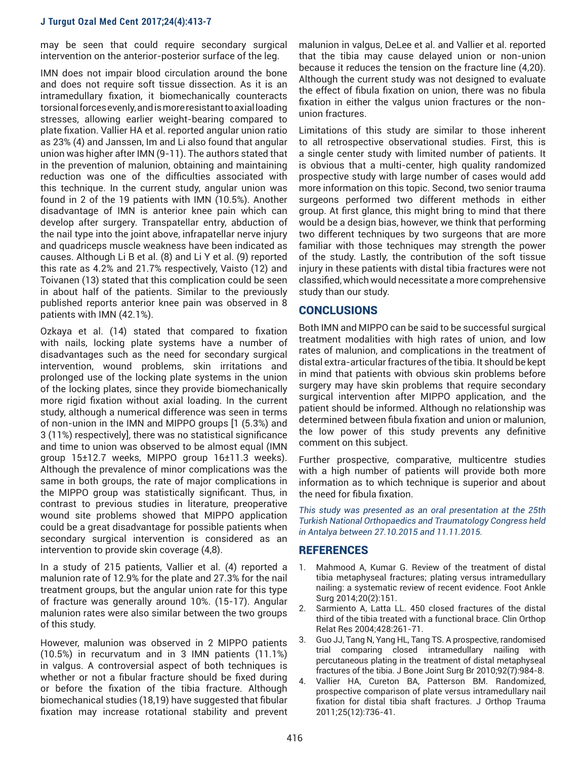may be seen that could require secondary surgical intervention on the anterior-posterior surface of the leg.

IMN does not impair blood circulation around the bone and does not require soft tissue dissection. As it is an intramedullary fixation, it biomechanically counteracts torsional forces evenly, and is more resistant to axial loading stresses, allowing earlier weight-bearing compared to plate fixation. Vallier HA et al. reported angular union ratio as 23% (4) and Janssen, Im and Li also found that angular union was higher after IMN (9-11). The authors stated that in the prevention of malunion, obtaining and maintaining reduction was one of the difficulties associated with this technique. In the current study, angular union was found in 2 of the 19 patients with IMN (10.5%). Another disadvantage of IMN is anterior knee pain which can develop after surgery. Transpatellar entry, abduction of the nail type into the joint above, infrapatellar nerve injury and quadriceps muscle weakness have been indicated as causes. Although Li B et al. (8) and Li Y et al. (9) reported this rate as 4.2% and 21.7% respectively, Vaisto (12) and Toivanen (13) stated that this complication could be seen in about half of the patients. Similar to the previously published reports anterior knee pain was observed in 8 patients with IMN (42.1%).

Ozkaya et al. (14) stated that compared to fixation with nails, locking plate systems have a number of disadvantages such as the need for secondary surgical intervention, wound problems, skin irritations and prolonged use of the locking plate systems in the union of the locking plates, since they provide biomechanically more rigid fixation without axial loading. In the current study, although a numerical difference was seen in terms of non-union in the IMN and MIPPO groups [1 (5.3%) and 3 (11%) respectively], there was no statistical significance and time to union was observed to be almost equal (IMN group 15±12.7 weeks, MIPPO group 16±11.3 weeks). Although the prevalence of minor complications was the same in both groups, the rate of major complications in the MIPPO group was statistically significant. Thus, in contrast to previous studies in literature, preoperative wound site problems showed that MIPPO application could be a great disadvantage for possible patients when secondary surgical intervention is considered as an intervention to provide skin coverage (4,8).

In a study of 215 patients, Vallier et al. (4) reported a malunion rate of 12.9% for the plate and 27.3% for the nail treatment groups, but the angular union rate for this type of fracture was generally around 10%. (15-17). Angular malunion rates were also similar between the two groups of this study.

However, malunion was observed in 2 MIPPO patients (10.5%) in recurvatum and in 3 IMN patients (11.1%) in valgus. A controversial aspect of both techniques is whether or not a fibular fracture should be fixed during or before the fixation of the tibia fracture. Although biomechanical studies (18,19) have suggested that fibular fixation may increase rotational stability and prevent

malunion in valgus, DeLee et al. and Vallier et al. reported that the tibia may cause delayed union or non-union because it reduces the tension on the fracture line (4,20). Although the current study was not designed to evaluate the effect of fibula fixation on union, there was no fibula fixation in either the valgus union fractures or the nonunion fractures.

Limitations of this study are similar to those inherent to all retrospective observational studies. First, this is a single center study with limited number of patients. It is obvious that a multi-center, high quality randomized prospective study with large number of cases would add more information on this topic. Second, two senior trauma surgeons performed two different methods in either group. At first glance, this might bring to mind that there would be a design bias, however, we think that performing two different techniques by two surgeons that are more familiar with those techniques may strength the power of the study. Lastly, the contribution of the soft tissue injury in these patients with distal tibia fractures were not classified, which would necessitate a more comprehensive study than our study.

# CONCLUSIONS

Both IMN and MIPPO can be said to be successful surgical treatment modalities with high rates of union, and low rates of malunion, and complications in the treatment of distal extra-articular fractures of the tibia. It should be kept in mind that patients with obvious skin problems before surgery may have skin problems that require secondary surgical intervention after MIPPO application, and the patient should be informed. Although no relationship was determined between fibula fixation and union or malunion, the low power of this study prevents any definitive comment on this subject.

Further prospective, comparative, multicentre studies with a high number of patients will provide both more information as to which technique is superior and about the need for fibula fixation.

*This study was presented as an oral presentation at the 25th Turkish National Orthopaedics and Traumatology Congress held in Antalya between 27.10.2015 and 11.11.2015.*

# **REFERENCES**

- 1. Mahmood A, Kumar G. Review of the treatment of distal tibia metaphyseal fractures; plating versus intramedullary nailing: a systematic review of recent evidence. Foot Ankle Surg 2014;20(2):151.
- 2. Sarmiento A, Latta LL. 450 closed fractures of the distal third of the tibia treated with a functional brace. Clin Orthop Relat Res 2004;428:261-71.
- 3. Guo JJ, Tang N, Yang HL, Tang TS. A prospective, randomised trial comparing closed intramedullary nailing with percutaneous plating in the treatment of distal metaphyseal fractures of the tibia. J Bone Joint Surg Br 2010;92(7):984-8.
- 4. Vallier HA, Cureton BA, Patterson BM. Randomized, prospective comparison of plate versus intramedullary nail fixation for distal tibia shaft fractures. J Orthop Trauma 2011;25(12):736-41.